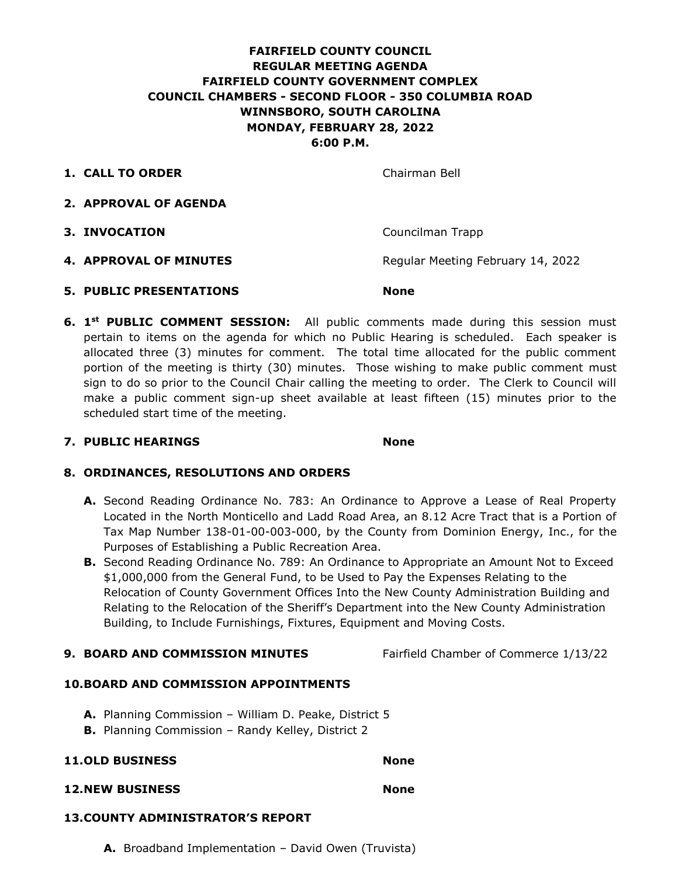# **FAIRFIELD COUNTY COUNCIL REGULAR MEETING AGENDA FAIRFIELD COUNTY GOVERNMENT COMPLEX COUNCIL CHAMBERS - SECOND FLOOR - 350 COLUMBIA ROAD WINNSBORO, SOUTH CAROLINA MONDAY, FEBRUARY 28, 2022 6:00 P.M.**

**1. CALL TO ORDER** Chairman Bell

- **2. APPROVAL OF AGENDA**
- **3. INVOCATION Councilman Trapp**
- **4. APPROVAL OF MINUTES** Regular Meeting February 14, 2022
- **5. PUBLIC PRESENTATIONS None**
- **6. 1<sup>st</sup> PUBLIC COMMENT SESSION:** All public comments made during this session must pertain to items on the agenda for which no Public Hearing is scheduled. Each speaker is allocated three (3) minutes for comment. The total time allocated for the public comment portion of the meeting is thirty (30) minutes. Those wishing to make public comment must sign to do so prior to the Council Chair calling the meeting to order. The Clerk to Council will make a public comment sign-up sheet available at least fifteen (15) minutes prior to the scheduled start time of the meeting.

## **7. PUBLIC HEARINGS None**

# **8. ORDINANCES, RESOLUTIONS AND ORDERS**

- **A.** Second Reading Ordinance No. 783: An Ordinance to Approve a Lease of Real Property Located in the North Monticello and Ladd Road Area, an 8.12 Acre Tract that is a Portion of Tax Map Number 138-01-00-003-000, by the County from Dominion Energy, Inc., for the Purposes of Establishing a Public Recreation Area.
- **B.** Second Reading Ordinance No. 789: An Ordinance to Appropriate an Amount Not to Exceed \$1,000,000 from the General Fund, to be Used to Pay the Expenses Relating to the Relocation of County Government Offices Into the New County Administration Building and Relating to the Relocation of the Sheriff's Department into the New County Administration Building, to Include Furnishings, Fixtures, Equipment and Moving Costs.
- **9. BOARD AND COMMISSION MINUTES** Fairfield Chamber of Commerce 1/13/22

## **10.BOARD AND COMMISSION APPOINTMENTS**

- **A.** Planning Commission William D. Peake, District 5
- **B.** Planning Commission Randy Kelley, District 2

## **11.OLD BUSINESS None**

# **12.NEW BUSINESS None**

# **13.COUNTY ADMINISTRATOR'S REPORT**

**A.** Broadband Implementation – David Owen (Truvista)